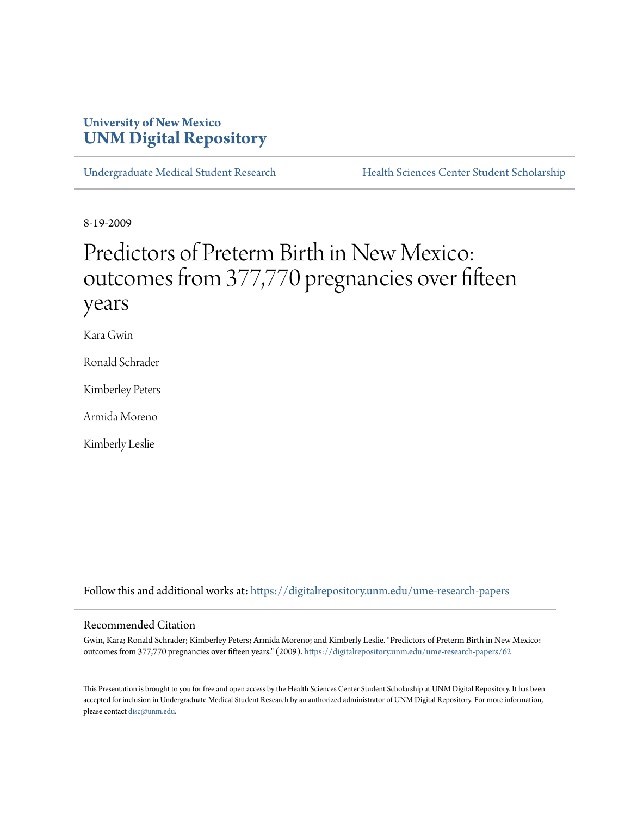## **University of New Mexico [UNM Digital Repository](https://digitalrepository.unm.edu?utm_source=digitalrepository.unm.edu%2Fume-research-papers%2F62&utm_medium=PDF&utm_campaign=PDFCoverPages)**

[Undergraduate Medical Student Research](https://digitalrepository.unm.edu/ume-research-papers?utm_source=digitalrepository.unm.edu%2Fume-research-papers%2F62&utm_medium=PDF&utm_campaign=PDFCoverPages) [Health Sciences Center Student Scholarship](https://digitalrepository.unm.edu/hsc-students?utm_source=digitalrepository.unm.edu%2Fume-research-papers%2F62&utm_medium=PDF&utm_campaign=PDFCoverPages)

8-19-2009

# Predictors of Preterm Birth in New Mexico: outcomes from 377,770 pregnancies over fifteen years

Kara Gwin

Ronald Schrader

Kimberley Peters

Armida Moreno

Kimberly Leslie

Follow this and additional works at: [https://digitalrepository.unm.edu/ume-research-papers](https://digitalrepository.unm.edu/ume-research-papers?utm_source=digitalrepository.unm.edu%2Fume-research-papers%2F62&utm_medium=PDF&utm_campaign=PDFCoverPages)

#### Recommended Citation

Gwin, Kara; Ronald Schrader; Kimberley Peters; Armida Moreno; and Kimberly Leslie. "Predictors of Preterm Birth in New Mexico: outcomes from 377,770 pregnancies over fifteen years." (2009). [https://digitalrepository.unm.edu/ume-research-papers/62](https://digitalrepository.unm.edu/ume-research-papers/62?utm_source=digitalrepository.unm.edu%2Fume-research-papers%2F62&utm_medium=PDF&utm_campaign=PDFCoverPages)

This Presentation is brought to you for free and open access by the Health Sciences Center Student Scholarship at UNM Digital Repository. It has been accepted for inclusion in Undergraduate Medical Student Research by an authorized administrator of UNM Digital Repository. For more information, please contact [disc@unm.edu.](mailto:disc@unm.edu)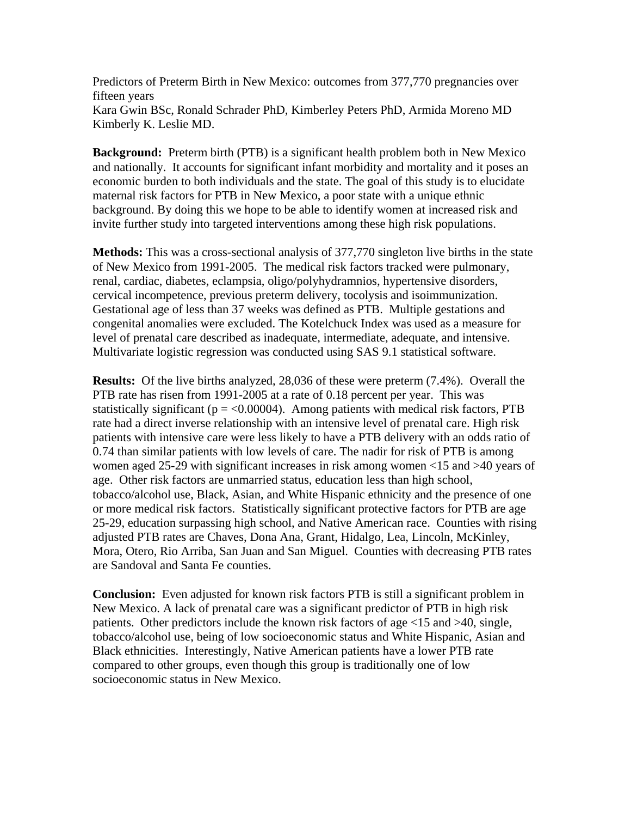Predictors of Preterm Birth in New Mexico: outcomes from 377,770 pregnancies over fifteen years Kara Gwin BSc, Ronald Schrader PhD, Kimberley Peters PhD, Armida Moreno MD Kimberly K. Leslie MD.

**Background:** Preterm birth (PTB) is a significant health problem both in New Mexico and nationally. It accounts for significant infant morbidity and mortality and it poses an economic burden to both individuals and the state. The goal of this study is to elucidate maternal risk factors for PTB in New Mexico, a poor state with a unique ethnic background. By doing this we hope to be able to identify women at increased risk and invite further study into targeted interventions among these high risk populations.

**Methods:** This was a cross-sectional analysis of 377,770 singleton live births in the state of New Mexico from 1991-2005. The medical risk factors tracked were pulmonary, renal, cardiac, diabetes, eclampsia, oligo/polyhydramnios, hypertensive disorders, cervical incompetence, previous preterm delivery, tocolysis and isoimmunization. Gestational age of less than 37 weeks was defined as PTB. Multiple gestations and congenital anomalies were excluded. The Kotelchuck Index was used as a measure for level of prenatal care described as inadequate, intermediate, adequate, and intensive. Multivariate logistic regression was conducted using SAS 9.1 statistical software.

**Results:** Of the live births analyzed, 28,036 of these were preterm (7.4%). Overall the PTB rate has risen from 1991-2005 at a rate of 0.18 percent per year. This was statistically significant ( $p = < 0.00004$ ). Among patients with medical risk factors, PTB rate had a direct inverse relationship with an intensive level of prenatal care. High risk patients with intensive care were less likely to have a PTB delivery with an odds ratio of 0.74 than similar patients with low levels of care. The nadir for risk of PTB is among women aged 25-29 with significant increases in risk among women <15 and >40 years of age. Other risk factors are unmarried status, education less than high school, tobacco/alcohol use, Black, Asian, and White Hispanic ethnicity and the presence of one or more medical risk factors. Statistically significant protective factors for PTB are age 25-29, education surpassing high school, and Native American race. Counties with rising adjusted PTB rates are Chaves, Dona Ana, Grant, Hidalgo, Lea, Lincoln, McKinley, Mora, Otero, Rio Arriba, San Juan and San Miguel. Counties with decreasing PTB rates are Sandoval and Santa Fe counties.

**Conclusion:** Even adjusted for known risk factors PTB is still a significant problem in New Mexico. A lack of prenatal care was a significant predictor of PTB in high risk patients. Other predictors include the known risk factors of age <15 and >40, single, tobacco/alcohol use, being of low socioeconomic status and White Hispanic, Asian and Black ethnicities. Interestingly, Native American patients have a lower PTB rate compared to other groups, even though this group is traditionally one of low socioeconomic status in New Mexico.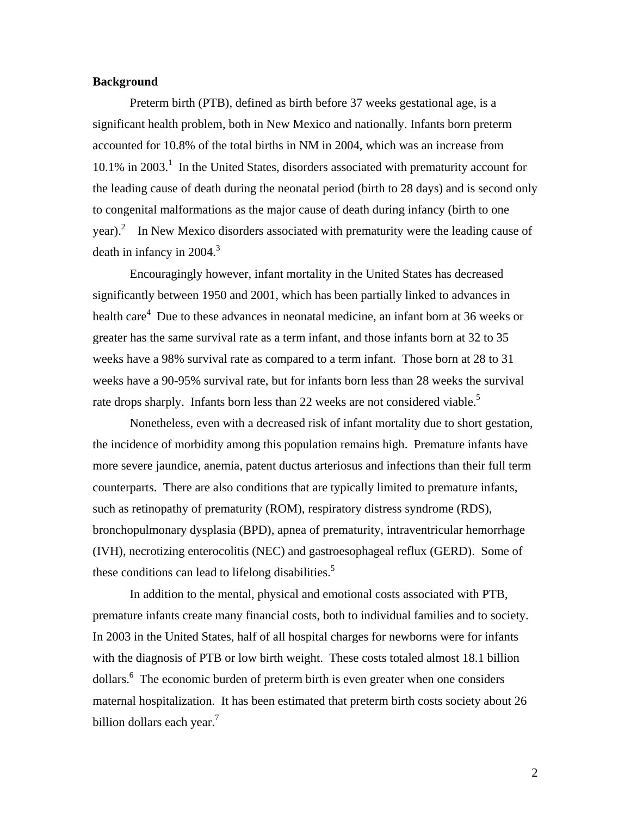#### **Background**

 Preterm birth (PTB), defined as birth before 37 weeks gestational age, is a significant health problem, both in New Mexico and nationally. Infants born preterm accounted for 10.8% of the total births in NM in 2004, which was an increase from 10.1% in 2003.<sup>1</sup> In the United States, disorders associated with prematurity account for the leading cause of death during the neonatal period (birth to 28 days) and is second only to congenital malformations as the major cause of death during infancy (birth to one year). $^2$  In New Mexico disorders associated with prematurity were the leading cause of death in infancy in 2004. $3$ 

 Encouragingly however, infant mortality in the United States has decreased significantly between 1950 and 2001, which has been partially linked to advances in health care<sup>4</sup> Due to these advances in neonatal medicine, an infant born at 36 weeks or greater has the same survival rate as a term infant, and those infants born at 32 to 35 weeks have a 98% survival rate as compared to a term infant. Those born at 28 to 31 weeks have a 90-95% survival rate, but for infants born less than 28 weeks the survival rate drops sharply. Infants born less than 22 weeks are not considered viable.<sup>5</sup>

 Nonetheless, even with a decreased risk of infant mortality due to short gestation, the incidence of morbidity among this population remains high. Premature infants have more severe jaundice, anemia, patent ductus arteriosus and infections than their full term counterparts. There are also conditions that are typically limited to premature infants, such as retinopathy of prematurity (ROM), respiratory distress syndrome (RDS), bronchopulmonary dysplasia (BPD), apnea of prematurity, intraventricular hemorrhage (IVH), necrotizing enterocolitis (NEC) and gastroesophageal reflux (GERD). Some of these conditions can lead to lifelong disabilities.<sup>5</sup>

 In addition to the mental, physical and emotional costs associated with PTB, premature infants create many financial costs, both to individual families and to society. In 2003 in the United States, half of all hospital charges for newborns were for infants with the diagnosis of PTB or low birth weight. These costs totaled almost 18.1 billion dollars.<sup>6</sup> The economic burden of preterm birth is even greater when one considers maternal hospitalization. It has been estimated that preterm birth costs society about 26 billion dollars each year.<sup>7</sup>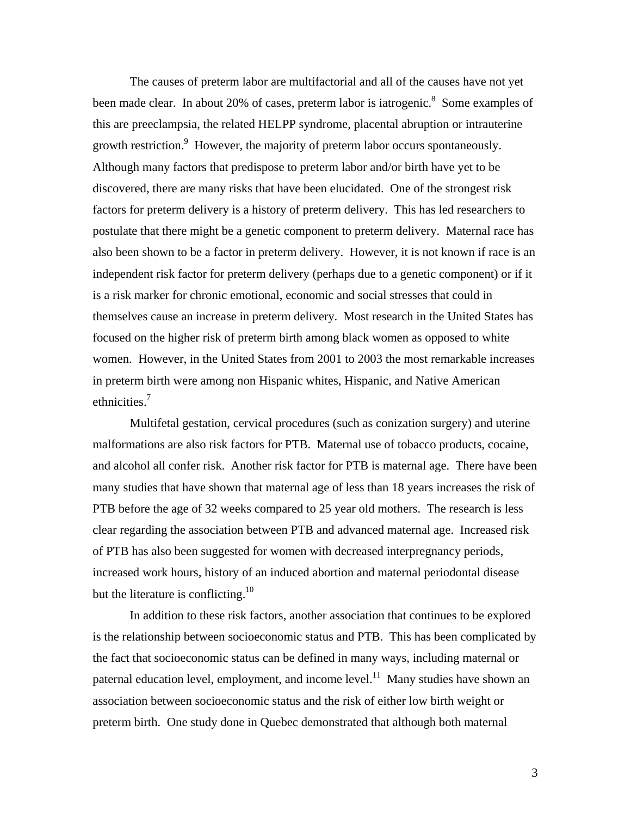The causes of preterm labor are multifactorial and all of the causes have not yet been made clear. In about 20% of cases, preterm labor is iatrogenic.<sup>8</sup> Some examples of this are preeclampsia, the related HELPP syndrome, placental abruption or intrauterine growth restriction.<sup>9</sup> However, the majority of preterm labor occurs spontaneously. Although many factors that predispose to preterm labor and/or birth have yet to be discovered, there are many risks that have been elucidated. One of the strongest risk factors for preterm delivery is a history of preterm delivery. This has led researchers to postulate that there might be a genetic component to preterm delivery. Maternal race has also been shown to be a factor in preterm delivery. However, it is not known if race is an independent risk factor for preterm delivery (perhaps due to a genetic component) or if it is a risk marker for chronic emotional, economic and social stresses that could in themselves cause an increase in preterm delivery. Most research in the United States has focused on the higher risk of preterm birth among black women as opposed to white women. However, in the United States from 2001 to 2003 the most remarkable increases in preterm birth were among non Hispanic whites, Hispanic, and Native American ethnicities.<sup>7</sup>

 Multifetal gestation, cervical procedures (such as conization surgery) and uterine malformations are also risk factors for PTB. Maternal use of tobacco products, cocaine, and alcohol all confer risk. Another risk factor for PTB is maternal age. There have been many studies that have shown that maternal age of less than 18 years increases the risk of PTB before the age of 32 weeks compared to 25 year old mothers. The research is less clear regarding the association between PTB and advanced maternal age. Increased risk of PTB has also been suggested for women with decreased interpregnancy periods, increased work hours, history of an induced abortion and maternal periodontal disease but the literature is conflicting.<sup>10</sup>

In addition to these risk factors, another association that continues to be explored is the relationship between socioeconomic status and PTB. This has been complicated by the fact that socioeconomic status can be defined in many ways, including maternal or paternal education level, employment, and income level.<sup>11</sup> Many studies have shown an association between socioeconomic status and the risk of either low birth weight or preterm birth. One study done in Quebec demonstrated that although both maternal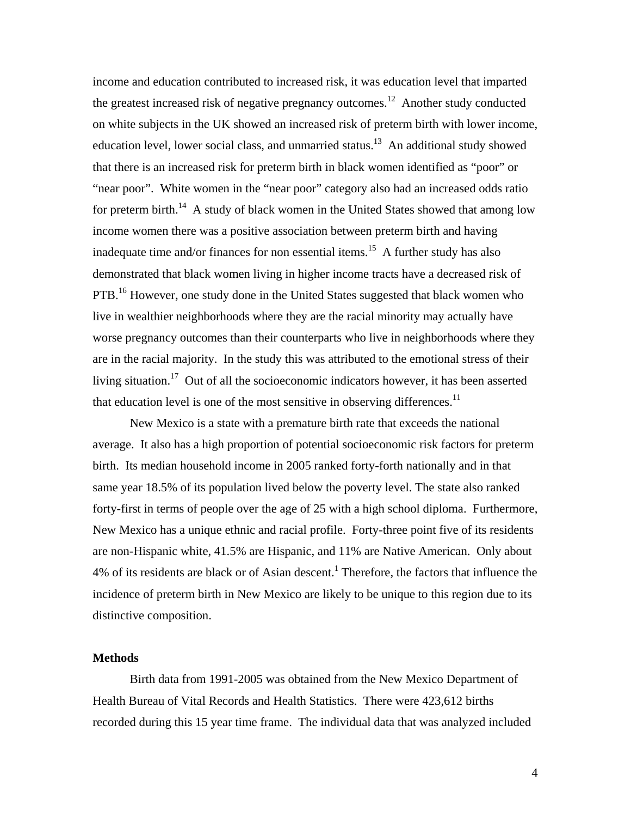income and education contributed to increased risk, it was education level that imparted the greatest increased risk of negative pregnancy outcomes.<sup>12</sup> Another study conducted on white subjects in the UK showed an increased risk of preterm birth with lower income, education level, lower social class, and unmarried status.<sup>13</sup> An additional study showed that there is an increased risk for preterm birth in black women identified as "poor" or "near poor". White women in the "near poor" category also had an increased odds ratio for preterm birth.<sup>14</sup> A study of black women in the United States showed that among low income women there was a positive association between preterm birth and having inadequate time and/or finances for non essential items.<sup>15</sup> A further study has also demonstrated that black women living in higher income tracts have a decreased risk of PTB.<sup>16</sup> However, one study done in the United States suggested that black women who live in wealthier neighborhoods where they are the racial minority may actually have worse pregnancy outcomes than their counterparts who live in neighborhoods where they are in the racial majority. In the study this was attributed to the emotional stress of their living situation.<sup>17</sup> Out of all the socioeconomic indicators however, it has been asserted that education level is one of the most sensitive in observing differences.<sup>11</sup>

New Mexico is a state with a premature birth rate that exceeds the national average. It also has a high proportion of potential socioeconomic risk factors for preterm birth. Its median household income in 2005 ranked forty-forth nationally and in that same year 18.5% of its population lived below the poverty level. The state also ranked forty-first in terms of people over the age of 25 with a high school diploma. Furthermore, New Mexico has a unique ethnic and racial profile. Forty-three point five of its residents are non-Hispanic white, 41.5% are Hispanic, and 11% are Native American. Only about  $4%$  of its residents are black or of Asian descent.<sup>1</sup> Therefore, the factors that influence the incidence of preterm birth in New Mexico are likely to be unique to this region due to its distinctive composition.

## **Methods**

Birth data from 1991-2005 was obtained from the New Mexico Department of Health Bureau of Vital Records and Health Statistics. There were 423,612 births recorded during this 15 year time frame. The individual data that was analyzed included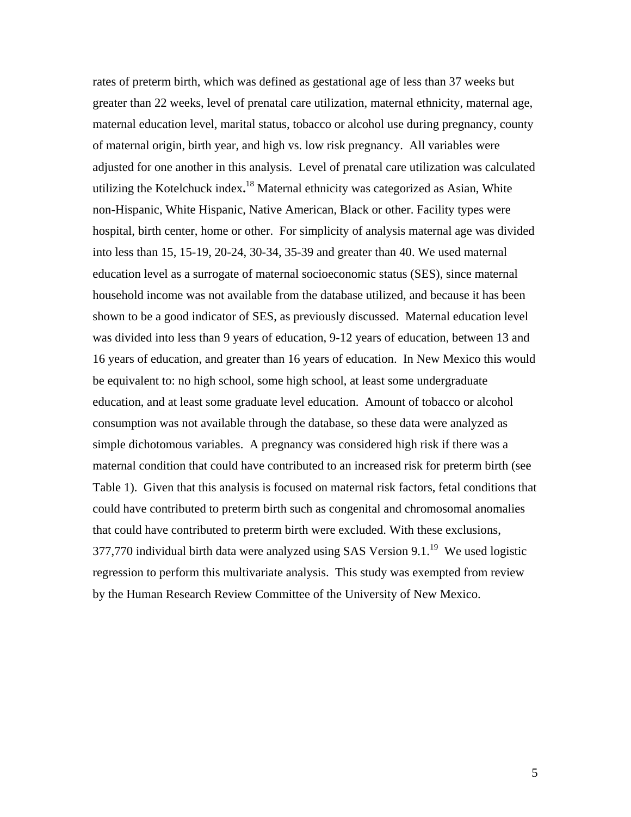rates of preterm birth, which was defined as gestational age of less than 37 weeks but greater than 22 weeks, level of prenatal care utilization, maternal ethnicity, maternal age, maternal education level, marital status, tobacco or alcohol use during pregnancy, county of maternal origin, birth year, and high vs. low risk pregnancy. All variables were adjusted for one another in this analysis. Level of prenatal care utilization was calculated utilizing the Kotelchuck index**.** 18 Maternal ethnicity was categorized as Asian, White non-Hispanic, White Hispanic, Native American, Black or other. Facility types were hospital, birth center, home or other. For simplicity of analysis maternal age was divided into less than 15, 15-19, 20-24, 30-34, 35-39 and greater than 40. We used maternal education level as a surrogate of maternal socioeconomic status (SES), since maternal household income was not available from the database utilized, and because it has been shown to be a good indicator of SES, as previously discussed. Maternal education level was divided into less than 9 years of education, 9-12 years of education, between 13 and 16 years of education, and greater than 16 years of education. In New Mexico this would be equivalent to: no high school, some high school, at least some undergraduate education, and at least some graduate level education. Amount of tobacco or alcohol consumption was not available through the database, so these data were analyzed as simple dichotomous variables. A pregnancy was considered high risk if there was a maternal condition that could have contributed to an increased risk for preterm birth (see Table 1). Given that this analysis is focused on maternal risk factors, fetal conditions that could have contributed to preterm birth such as congenital and chromosomal anomalies that could have contributed to preterm birth were excluded. With these exclusions, 377,770 individual birth data were analyzed using SAS Version  $9.1<sup>19</sup>$  We used logistic regression to perform this multivariate analysis. This study was exempted from review by the Human Research Review Committee of the University of New Mexico.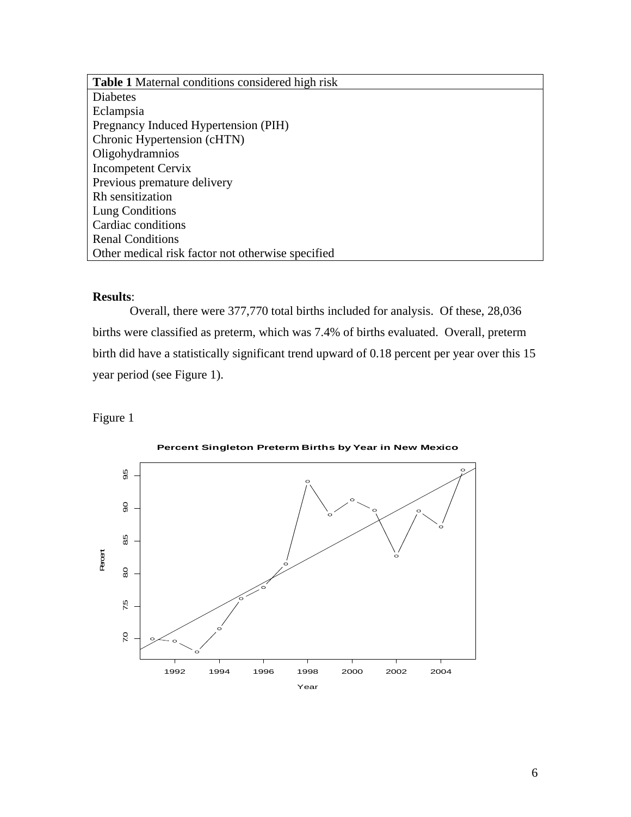**Table 1** Maternal conditions considered high risk Diabetes Eclampsia Pregnancy Induced Hypertension (PIH) Chronic Hypertension (cHTN) Oligohydramnios Incompetent Cervix Previous premature delivery Rh sensitization Lung Conditions Cardiac conditions Renal Conditions Other medical risk factor not otherwise specified

## **Results**:

 Overall, there were 377,770 total births included for analysis. Of these, 28,036 births were classified as preterm, which was 7.4% of births evaluated. Overall, preterm birth did have a statistically significant trend upward of 0.18 percent per year over this 15 year period (see Figure 1).

### Figure 1



**Percent Singleton Preterm Births by Year in New Mexico**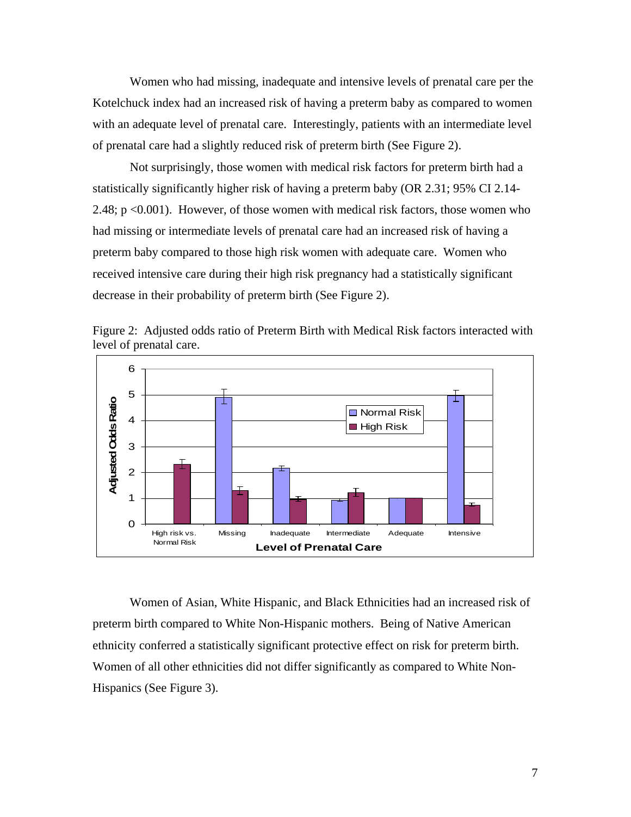Women who had missing, inadequate and intensive levels of prenatal care per the Kotelchuck index had an increased risk of having a preterm baby as compared to women with an adequate level of prenatal care. Interestingly, patients with an intermediate level of prenatal care had a slightly reduced risk of preterm birth (See Figure 2).

 Not surprisingly, those women with medical risk factors for preterm birth had a statistically significantly higher risk of having a preterm baby (OR 2.31; 95% CI 2.14- 2.48; p <0.001). However, of those women with medical risk factors, those women who had missing or intermediate levels of prenatal care had an increased risk of having a preterm baby compared to those high risk women with adequate care. Women who received intensive care during their high risk pregnancy had a statistically significant decrease in their probability of preterm birth (See Figure 2).



Figure 2: Adjusted odds ratio of Preterm Birth with Medical Risk factors interacted with level of prenatal care.

Women of Asian, White Hispanic, and Black Ethnicities had an increased risk of preterm birth compared to White Non-Hispanic mothers. Being of Native American ethnicity conferred a statistically significant protective effect on risk for preterm birth. Women of all other ethnicities did not differ significantly as compared to White Non-Hispanics (See Figure 3).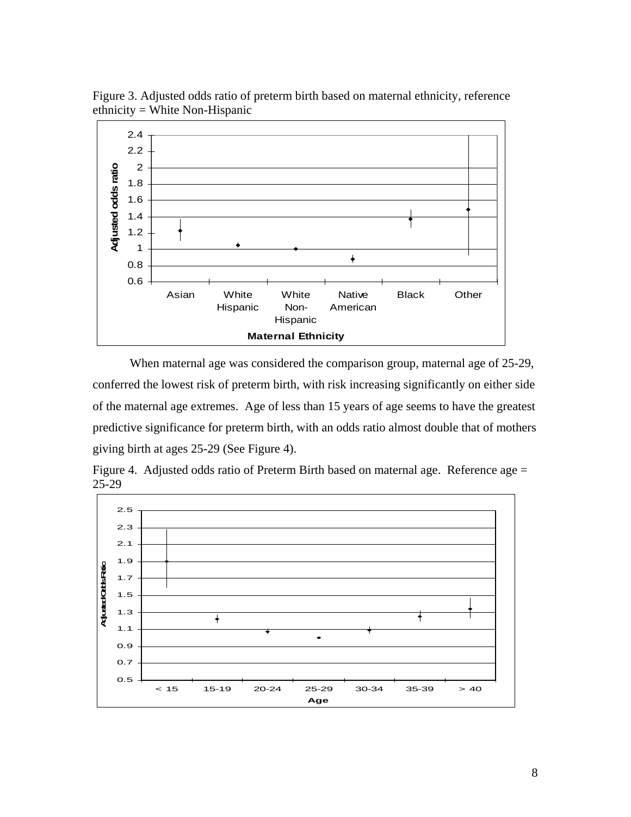

Figure 3. Adjusted odds ratio of preterm birth based on maternal ethnicity, reference ethnicity = White Non-Hispanic

 When maternal age was considered the comparison group, maternal age of 25-29, conferred the lowest risk of preterm birth, with risk increasing significantly on either side of the maternal age extremes. Age of less than 15 years of age seems to have the greatest predictive significance for preterm birth, with an odds ratio almost double that of mothers giving birth at ages 25-29 (See Figure 4).



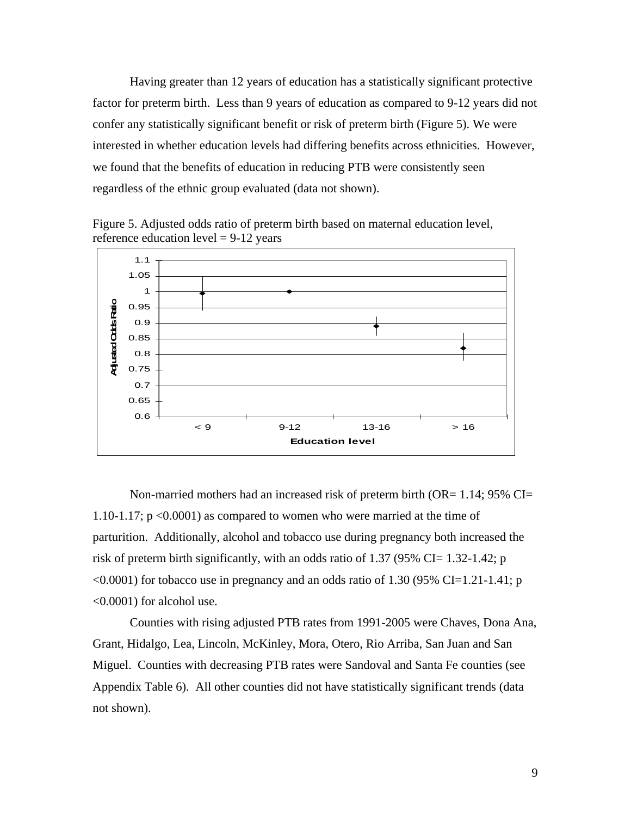Having greater than 12 years of education has a statistically significant protective factor for preterm birth. Less than 9 years of education as compared to 9-12 years did not confer any statistically significant benefit or risk of preterm birth (Figure 5). We were interested in whether education levels had differing benefits across ethnicities. However, we found that the benefits of education in reducing PTB were consistently seen regardless of the ethnic group evaluated (data not shown).

Figure 5. Adjusted odds ratio of preterm birth based on maternal education level, reference education level  $= 9-12$  years



 Non-married mothers had an increased risk of preterm birth (OR= 1.14; 95% CI= 1.10-1.17;  $p \le 0.0001$  as compared to women who were married at the time of parturition. Additionally, alcohol and tobacco use during pregnancy both increased the risk of preterm birth significantly, with an odds ratio of 1.37 (95% CI= 1.32-1.42; p  $\leq 0.0001$ ) for tobacco use in pregnancy and an odds ratio of 1.30 (95% CI=1.21-1.41; p <0.0001) for alcohol use.

Counties with rising adjusted PTB rates from 1991-2005 were Chaves, Dona Ana, Grant, Hidalgo, Lea, Lincoln, McKinley, Mora, Otero, Rio Arriba, San Juan and San Miguel. Counties with decreasing PTB rates were Sandoval and Santa Fe counties (see Appendix Table 6). All other counties did not have statistically significant trends (data not shown).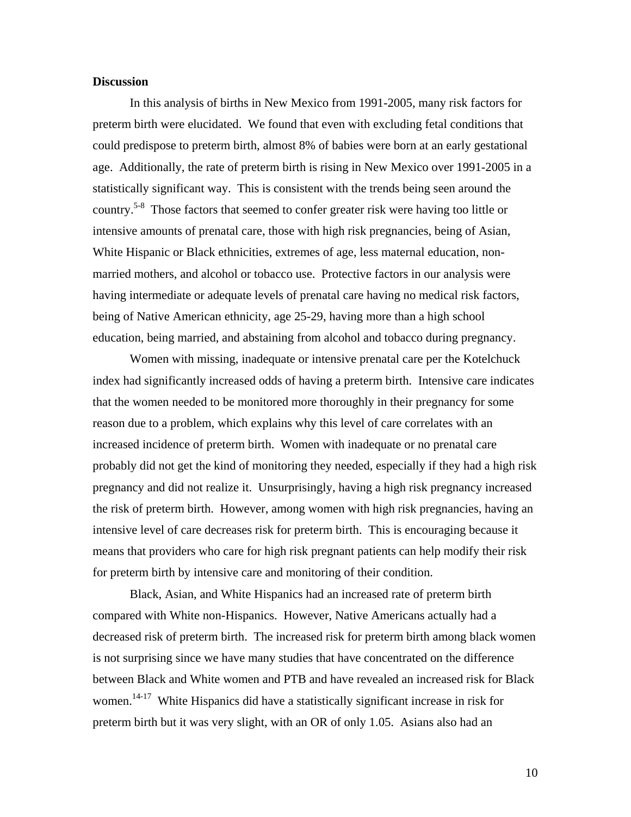#### **Discussion**

 In this analysis of births in New Mexico from 1991-2005, many risk factors for preterm birth were elucidated. We found that even with excluding fetal conditions that could predispose to preterm birth, almost 8% of babies were born at an early gestational age. Additionally, the rate of preterm birth is rising in New Mexico over 1991-2005 in a statistically significant way. This is consistent with the trends being seen around the country.5-8 Those factors that seemed to confer greater risk were having too little or intensive amounts of prenatal care, those with high risk pregnancies, being of Asian, White Hispanic or Black ethnicities, extremes of age, less maternal education, nonmarried mothers, and alcohol or tobacco use. Protective factors in our analysis were having intermediate or adequate levels of prenatal care having no medical risk factors, being of Native American ethnicity, age 25-29, having more than a high school education, being married, and abstaining from alcohol and tobacco during pregnancy.

 Women with missing, inadequate or intensive prenatal care per the Kotelchuck index had significantly increased odds of having a preterm birth. Intensive care indicates that the women needed to be monitored more thoroughly in their pregnancy for some reason due to a problem, which explains why this level of care correlates with an increased incidence of preterm birth. Women with inadequate or no prenatal care probably did not get the kind of monitoring they needed, especially if they had a high risk pregnancy and did not realize it. Unsurprisingly, having a high risk pregnancy increased the risk of preterm birth. However, among women with high risk pregnancies, having an intensive level of care decreases risk for preterm birth. This is encouraging because it means that providers who care for high risk pregnant patients can help modify their risk for preterm birth by intensive care and monitoring of their condition.

 Black, Asian, and White Hispanics had an increased rate of preterm birth compared with White non-Hispanics. However, Native Americans actually had a decreased risk of preterm birth. The increased risk for preterm birth among black women is not surprising since we have many studies that have concentrated on the difference between Black and White women and PTB and have revealed an increased risk for Black women.<sup>14-17</sup> White Hispanics did have a statistically significant increase in risk for preterm birth but it was very slight, with an OR of only 1.05. Asians also had an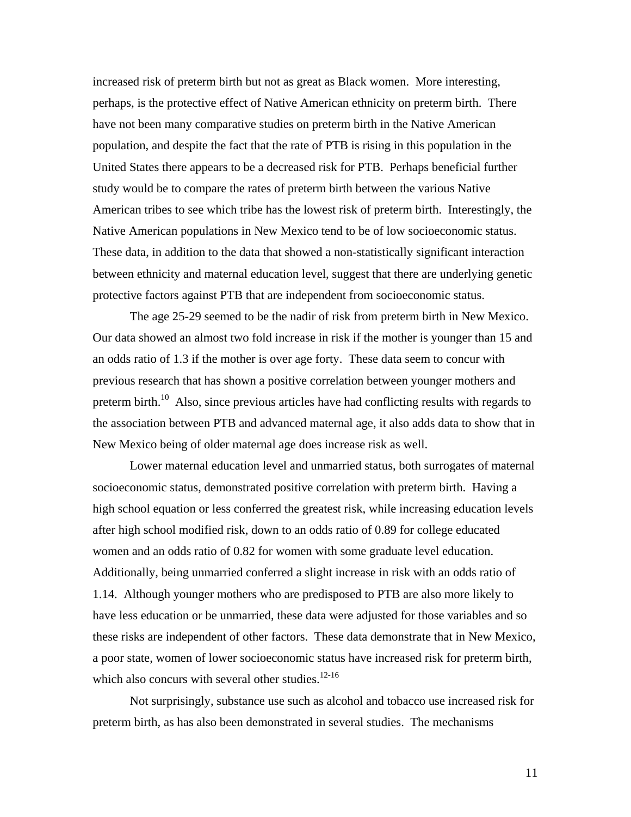increased risk of preterm birth but not as great as Black women. More interesting, perhaps, is the protective effect of Native American ethnicity on preterm birth. There have not been many comparative studies on preterm birth in the Native American population, and despite the fact that the rate of PTB is rising in this population in the United States there appears to be a decreased risk for PTB. Perhaps beneficial further study would be to compare the rates of preterm birth between the various Native American tribes to see which tribe has the lowest risk of preterm birth. Interestingly, the Native American populations in New Mexico tend to be of low socioeconomic status. These data, in addition to the data that showed a non-statistically significant interaction between ethnicity and maternal education level, suggest that there are underlying genetic protective factors against PTB that are independent from socioeconomic status.

 The age 25-29 seemed to be the nadir of risk from preterm birth in New Mexico. Our data showed an almost two fold increase in risk if the mother is younger than 15 and an odds ratio of 1.3 if the mother is over age forty. These data seem to concur with previous research that has shown a positive correlation between younger mothers and preterm birth.<sup>10</sup> Also, since previous articles have had conflicting results with regards to the association between PTB and advanced maternal age, it also adds data to show that in New Mexico being of older maternal age does increase risk as well.

 Lower maternal education level and unmarried status, both surrogates of maternal socioeconomic status, demonstrated positive correlation with preterm birth. Having a high school equation or less conferred the greatest risk, while increasing education levels after high school modified risk, down to an odds ratio of 0.89 for college educated women and an odds ratio of 0.82 for women with some graduate level education. Additionally, being unmarried conferred a slight increase in risk with an odds ratio of 1.14. Although younger mothers who are predisposed to PTB are also more likely to have less education or be unmarried, these data were adjusted for those variables and so these risks are independent of other factors. These data demonstrate that in New Mexico, a poor state, women of lower socioeconomic status have increased risk for preterm birth, which also concurs with several other studies.<sup>12-16</sup>

 Not surprisingly, substance use such as alcohol and tobacco use increased risk for preterm birth, as has also been demonstrated in several studies. The mechanisms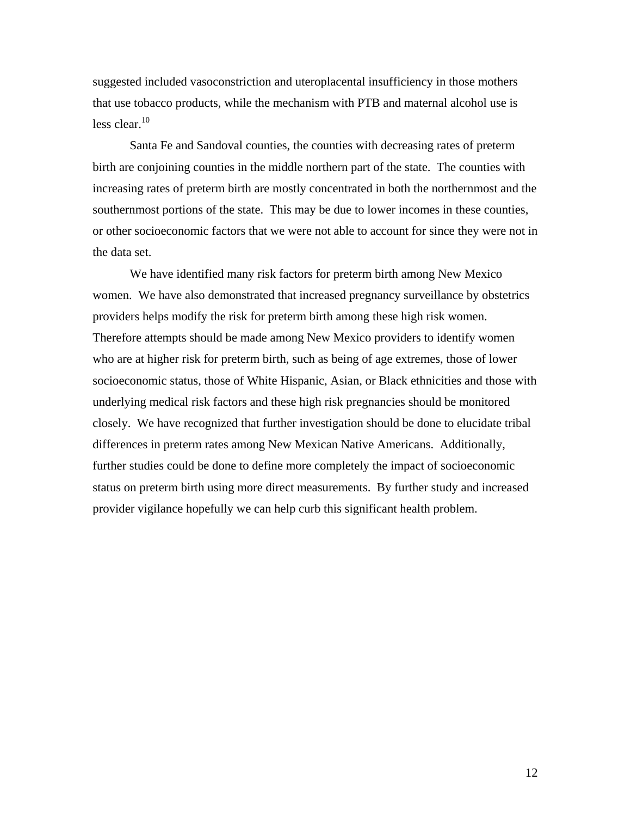suggested included vasoconstriction and uteroplacental insufficiency in those mothers that use tobacco products, while the mechanism with PTB and maternal alcohol use is less clear. $10$ 

 Santa Fe and Sandoval counties, the counties with decreasing rates of preterm birth are conjoining counties in the middle northern part of the state. The counties with increasing rates of preterm birth are mostly concentrated in both the northernmost and the southernmost portions of the state. This may be due to lower incomes in these counties, or other socioeconomic factors that we were not able to account for since they were not in the data set.

 We have identified many risk factors for preterm birth among New Mexico women. We have also demonstrated that increased pregnancy surveillance by obstetrics providers helps modify the risk for preterm birth among these high risk women. Therefore attempts should be made among New Mexico providers to identify women who are at higher risk for preterm birth, such as being of age extremes, those of lower socioeconomic status, those of White Hispanic, Asian, or Black ethnicities and those with underlying medical risk factors and these high risk pregnancies should be monitored closely. We have recognized that further investigation should be done to elucidate tribal differences in preterm rates among New Mexican Native Americans. Additionally, further studies could be done to define more completely the impact of socioeconomic status on preterm birth using more direct measurements. By further study and increased provider vigilance hopefully we can help curb this significant health problem.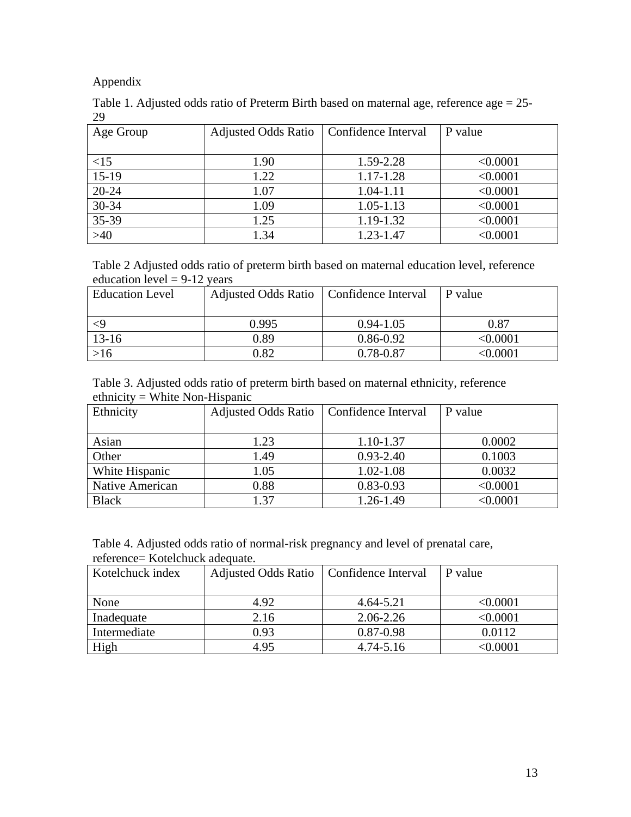Appendix

|    | Table 1. Adjusted odds ratio of Preterm Birth based on maternal age, reference age $= 25$ - |  |  |
|----|---------------------------------------------------------------------------------------------|--|--|
| 29 |                                                                                             |  |  |

| Age Group | <b>Adjusted Odds Ratio</b> | Confidence Interval | P value  |
|-----------|----------------------------|---------------------|----------|
|           |                            |                     |          |
| <15       | 1.90                       | 1.59-2.28           | < 0.0001 |
| $15-19$   | 1.22                       | 1.17-1.28           | < 0.0001 |
| $20 - 24$ | 1.07                       | 1.04-1.11           | < 0.0001 |
| $30 - 34$ | 1.09                       | $1.05 - 1.13$       | < 0.0001 |
| 35-39     | 1.25                       | 1.19-1.32           | < 0.0001 |
| >40       | 1.34                       | 1.23-1.47           | < 0.0001 |

Table 2 Adjusted odds ratio of preterm birth based on maternal education level, reference education level  $= 9-12$  years

| <b>Education Level</b> | Adjusted Odds Ratio   Confidence Interval |               | P value         |
|------------------------|-------------------------------------------|---------------|-----------------|
|                        | 0.995                                     | $0.94 - 1.05$ | 0.87            |
| $13-16$                | 0.89                                      | $0.86 - 0.92$ | $< \!\! 0.0001$ |
| >16                    | 0.82                                      | 0.78-0.87     | $<$ 0.0001 $\,$ |

Table 3. Adjusted odds ratio of preterm birth based on maternal ethnicity, reference ethnicity = White Non-Hispanic

| Ethnicity       | <b>Adjusted Odds Ratio</b> | Confidence Interval | P value      |
|-----------------|----------------------------|---------------------|--------------|
|                 |                            |                     |              |
| Asian           | 1.23                       | 1.10-1.37           | 0.0002       |
| Other           | 1.49                       | $0.93 - 2.40$       | 0.1003       |
| White Hispanic  | 1.05                       | $1.02 - 1.08$       | 0.0032       |
| Native American | 0.88                       | $0.83 - 0.93$       | < 0.0001     |
| <b>Black</b>    | 1.37                       | 1.26-1.49           | $<$ $0.0001$ |

Table 4. Adjusted odds ratio of normal-risk pregnancy and level of prenatal care, reference= Kotelchuck adequate.

| Kotelchuck index | <b>Adjusted Odds Ratio</b> | Confidence Interval | P value       |
|------------------|----------------------------|---------------------|---------------|
|                  |                            |                     |               |
| None             | 4.92                       | 4.64-5.21           | $<\!\!0.0001$ |
| Inadequate       | 2.16                       | 2.06-2.26           | < 0.0001      |
| Intermediate     | 0.93                       | $0.87 - 0.98$       | 0.0112        |
| High             | 4.95                       | $4.74 - 5.16$       | <0.0001       |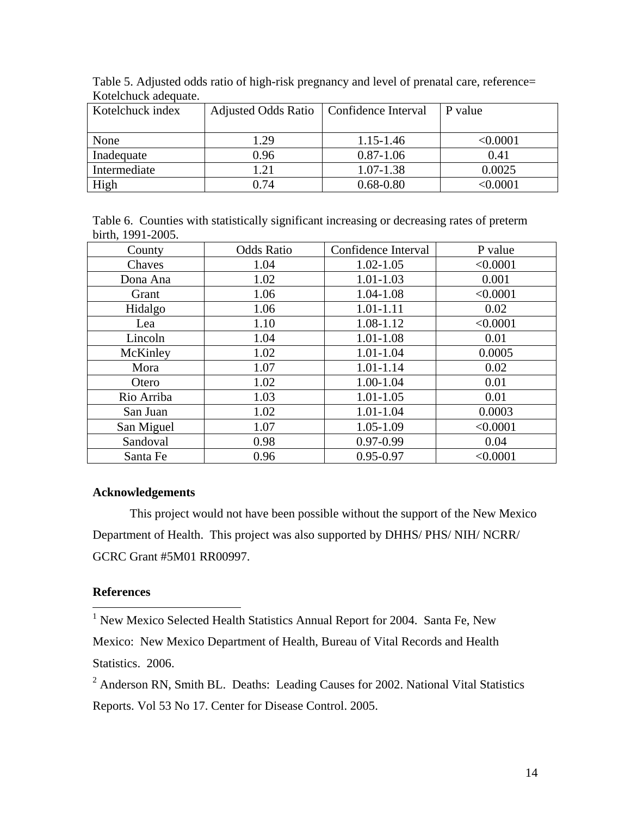| Kotelchuck index | Adjusted Odds Ratio   Confidence Interval |               | P value  |
|------------------|-------------------------------------------|---------------|----------|
|                  |                                           |               |          |
| None             | 1.29                                      | 1.15-1.46     | < 0.0001 |
| Inadequate       | 0.96                                      | $0.87 - 1.06$ | 0.41     |
| Intermediate     | 1.21                                      | 1.07-1.38     | 0.0025   |
| High             | 0.74                                      | $0.68 - 0.80$ | 0.0001   |

Table 5. Adjusted odds ratio of high-risk pregnancy and level of prenatal care, reference= Kotelchuck adequate.

Table 6. Counties with statistically significant increasing or decreasing rates of preterm birth, 1991-2005.

| County     | <b>Odds Ratio</b> | Confidence Interval | P value  |
|------------|-------------------|---------------------|----------|
| Chaves     | 1.04              | $1.02 - 1.05$       | < 0.0001 |
| Dona Ana   | 1.02              | $1.01 - 1.03$       | 0.001    |
| Grant      | 1.06              | 1.04-1.08           | < 0.0001 |
| Hidalgo    | 1.06              | 1.01-1.11           | 0.02     |
| Lea        | 1.10              | 1.08-1.12           | < 0.0001 |
| Lincoln    | 1.04              | $1.01 - 1.08$       | 0.01     |
| McKinley   | 1.02              | $1.01 - 1.04$       | 0.0005   |
| Mora       | 1.07              | $1.01 - 1.14$       | 0.02     |
| Otero      | 1.02              | 1.00-1.04           | 0.01     |
| Rio Arriba | 1.03              | $1.01 - 1.05$       | 0.01     |
| San Juan   | 1.02              | $1.01 - 1.04$       | 0.0003   |
| San Miguel | 1.07              | 1.05-1.09           | < 0.0001 |
| Sandoval   | 0.98              | $0.97 - 0.99$       | 0.04     |
| Santa Fe   | 0.96              | $0.95 - 0.97$       | < 0.0001 |

## **Acknowledgements**

 This project would not have been possible without the support of the New Mexico Department of Health. This project was also supported by DHHS/ PHS/ NIH/ NCRR/ GCRC Grant #5M01 RR00997.

## **References**

<sup>1</sup> New Mexico Selected Health Statistics Annual Report for 2004. Santa Fe, New Mexico: New Mexico Department of Health, Bureau of Vital Records and Health Statistics. 2006.

 $2$  Anderson RN, Smith BL. Deaths: Leading Causes for 2002. National Vital Statistics Reports. Vol 53 No 17. Center for Disease Control. 2005.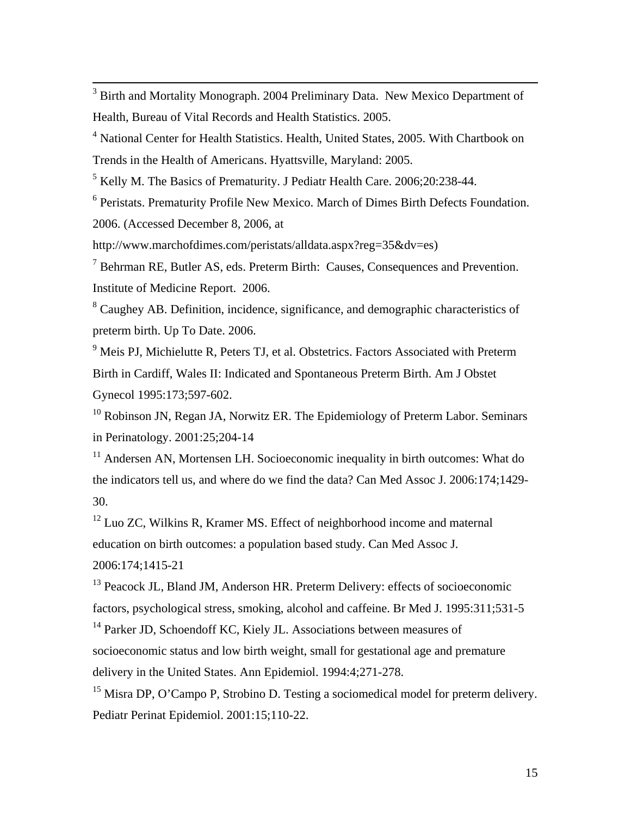<sup>3</sup> Birth and Mortality Monograph. 2004 Preliminary Data. New Mexico Department of Health, Bureau of Vital Records and Health Statistics. 2005.

<sup>4</sup> National Center for Health Statistics. Health, United States, 2005. With Chartbook on Trends in the Health of Americans. Hyattsville, Maryland: 2005.

<sup>5</sup> Kelly M. The Basics of Prematurity. J Pediatr Health Care. 2006;20:238-44.

<sup>6</sup> Peristats. Prematurity Profile New Mexico. March of Dimes Birth Defects Foundation. 2006. (Accessed December 8, 2006, at

http://www.marchofdimes.com/peristats/alldata.aspx?reg=35&dv=es)

 $<sup>7</sup>$  Behrman RE, Butler AS, eds. Preterm Birth: Causes, Consequences and Prevention.</sup> Institute of Medicine Report. 2006.

<sup>8</sup> Caughey AB. Definition, incidence, significance, and demographic characteristics of preterm birth. Up To Date. 2006.

 $9$  Meis PJ, Michielutte R, Peters TJ, et al. Obstetrics. Factors Associated with Preterm Birth in Cardiff, Wales II: Indicated and Spontaneous Preterm Birth. Am J Obstet Gynecol 1995:173;597-602.

 $10$  Robinson JN, Regan JA, Norwitz ER. The Epidemiology of Preterm Labor. Seminars in Perinatology. 2001:25;204-14

<sup>11</sup> Andersen AN, Mortensen LH. Socioeconomic inequality in birth outcomes: What do the indicators tell us, and where do we find the data? Can Med Assoc J. 2006:174;1429- 30.

 $12$  Luo ZC, Wilkins R, Kramer MS. Effect of neighborhood income and maternal education on birth outcomes: a population based study. Can Med Assoc J. 2006:174;1415-21

<sup>13</sup> Peacock JL, Bland JM, Anderson HR. Preterm Delivery: effects of socioeconomic factors, psychological stress, smoking, alcohol and caffeine. Br Med J. 1995:311;531-5

<sup>14</sup> Parker JD, Schoendoff KC, Kiely JL. Associations between measures of socioeconomic status and low birth weight, small for gestational age and premature delivery in the United States. Ann Epidemiol. 1994:4;271-278.

<sup>15</sup> Misra DP, O'Campo P, Strobino D. Testing a sociomedical model for preterm delivery. Pediatr Perinat Epidemiol. 2001:15;110-22.